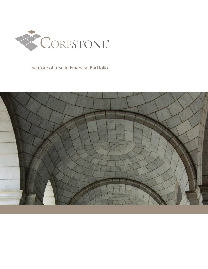

The Core of a Solid Financial Portfolio

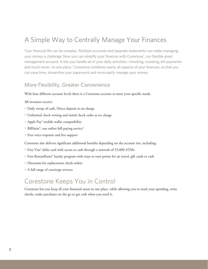## A Simple Way to Centrally Manage Your Finances

Your financial life can be complex. Multiple accounts and separate statements can make managing your money a challenge. Now you can simplify your finances with Corestone® , our flexible asset management account. It lets you handle all of your daily activities—checking, investing, bill payments and much more—in one place.<sup>1</sup> Corestone combines nearly all aspects of your finances, so that you can save time, streamline your paperwork and more easily manage your money.

#### More Flexibility, Greater Convenience

With four different account levels there is a Corestone account to meet your specific needs.

All investors receive:

- > Daily sweep of cash, Direct deposit at no charge
- > Unlimited check writing and initial check order at no charge
- > Apple Pay® mobile wallet compatibility
- > BillSuite®, our online bill-paying service2
- > Free voice response and live support

Corestone also delivers significant additional benefits depending on the account tier, including:

- > Free Visa® debit card with access to cash through a network of 55,000 ATMs
- > Free RewardSuite® loyalty program with ways to earn points for air travel, gift cards or cash
- > Discounts for replacement check orders
- > A full range of concierge services

#### Corestone Keeps You in Control

Corestone lets you keep all your financial assets in one place, while allowing you to track your spending, write checks, make purchases on the go or get cash when you need it.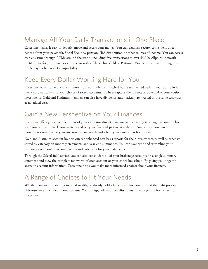## Manage All Your Daily Transactions in One Place

Corestone makes it easy to deposit, move and access your money. You can establish secure, convenient direct deposit from your paycheck, Social Security, pension, IRA distribution or other sources of income. You can access cash any time through ATMs around the world, including free transactions at over 55,000 Allpoint® network ATMs.3 Pay for your purchases on the go with a Silver Plus, Gold or Platinum Visa debit card and through the Apple Pay mobile wallet compatibility

## Keep Every Dollar Working Hard for You

Corestone works to help you earn more from your idle cash. Each day, the uninvested cash in your portfolio is swept automatically into your choice of sweep accounts. To help capture the full return potential of your equity investments, Gold and Platinum members can also have dividends automatically reinvested in the same securities at no added cost.

### Gain a New Perspective on Your Finances

Corestone offers you a complete view of your cash, investments, income and spending in a single account. This way, you can easily track your activity and see your financial picture at a glance. You can see how much your money has earned, what your investments are worth and where your money has been spent.

Gold and Platinum account holders can see enhanced cost basis reports for their investments, as well as expenses sorted by category on monthly statements and year-end summaries. You can save time and streamline your paperwork with online account access and e-delivery for your statements.

Through the SelectLink® service, you can also consolidate all of your brokerage accounts on a single summary statement and view the complete net worth of each account or your entire household. By giving you fingertip access to account information, Corestone helps you make more informed choices about your finances.

## A Range of Choices to Fit Your Needs

Whether you are just starting to build wealth, or already hold a large portfolio, you can find the right package of features—all included in one account. You can upgrade your benefits at any time to get the best value from Corestone.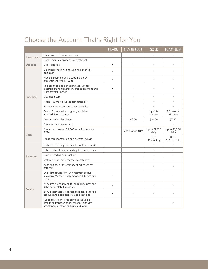# Choose the Account That's Right for You

|             |                                                                                                                                     | <b>SILVER</b> | <b>SILVER PLUS</b> | <b>GOLD</b>            | <b>PLATINUM</b>          |
|-------------|-------------------------------------------------------------------------------------------------------------------------------------|---------------|--------------------|------------------------|--------------------------|
| Investments | Daily sweep of uninvested cash                                                                                                      |               |                    |                        |                          |
|             | Complimentary dividend reinvestment                                                                                                 |               |                    | $\bullet$              |                          |
| Deposits    | Direct deposit                                                                                                                      | $\bullet$     | $\bullet$          | $\bullet$              |                          |
| Spending    | Unlimited check writing with no per check<br>minimum                                                                                |               |                    |                        |                          |
|             | Free bill payment and electronic check<br>presentment with BillSuite                                                                |               |                    |                        |                          |
|             | The ability to use a checking account for<br>electronic fund transfer, insurance payment and<br>trust payment needs                 |               |                    |                        |                          |
|             | Visa debit card                                                                                                                     |               |                    |                        |                          |
|             | Apple Pay mobile wallet compatibility                                                                                               |               | ٠                  | ٠                      |                          |
|             | Purchase protection and travel benefits                                                                                             |               |                    |                        |                          |
|             | RewardSuite loyalty program, available<br>at no additional charge                                                                   |               |                    | 1 point/<br>\$1 spent  | 1.5 points/<br>\$1 spent |
|             | Reorders of wallet checks                                                                                                           |               | \$12.50            | \$10.00                | \$7.50                   |
|             | Free stop payment orders                                                                                                            |               |                    |                        |                          |
| Cash        | Free access to over 55,000 Allpoint network<br><b>ATMs</b>                                                                          |               | Up to \$500 daily  | Up to \$1,500<br>daily | Up to \$3,000<br>daily   |
|             | Fee reimbursement on non-network ATMs                                                                                               |               |                    | Up to<br>\$5 monthly   | Up to<br>\$10 monthly    |
| Reporting   | Online check image retrieval (front and back) <sup>4</sup>                                                                          | $\bullet$     | $\blacksquare$     |                        |                          |
|             | Enhanced cost basis reporting for investments                                                                                       |               |                    | $\bullet$              | $\bullet$                |
|             | Expense coding and tracking                                                                                                         |               |                    | $\bullet$              |                          |
|             | Statements record expenses by category                                                                                              |               |                    | $\bullet$              | ٠                        |
|             | Year-end account summary of expenses by<br>category                                                                                 |               |                    |                        |                          |
| Service     | Live client service for your investment account<br>questions, Monday-Friday between 8:30 a.m. and<br>6 p.m. (ET)                    |               |                    |                        |                          |
|             | 24/7 live client service for all bill payment and<br>debit card-related questions                                                   |               |                    |                        |                          |
|             | 24/7 automated voice response service for all<br>account and debit card-related questions                                           | $\bullet$     |                    |                        |                          |
|             | Full range of concierge services including<br>limousine transportation, passport and visa<br>assistance, sightseeing tours and more |               |                    |                        |                          |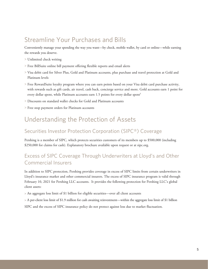## Streamline Your Purchases and Bills

Conveniently manage your spending the way you want—by check, mobile wallet, by card or online—while earning the rewards you deserve.

- > Unlimited check writing
- > Free BillSuite online bill payment offering flexible reports and email alerts
- > Visa debit card for Silver Plus, Gold and Platinum accounts, plus purchase and travel protection at Gold and Platinum levels
- > Free RewardSuite loyalty program where you can earn points based on your Visa debit card purchase activity, with rewards such as gift cards, air travel, cash back, concierge service and more. Gold accounts earn 1 point for every dollar spent, while Platinum accounts earn 1.5 points for every dollar spent<sup>5</sup>
- > Discounts on standard wallet checks for Gold and Platinum accounts
- > Free stop payment orders for Platinum accounts

#### Understanding the Protection of Assets

#### Securities Investor Protection Corporation (SIPC®) Coverage

Pershing is a member of SIPC, which protects securities customers of its members up to \$500,000 (including \$250,000 for claims for cash). Explanatory brochure available upon request or at sipc.org.

#### Excess of SIPC Coverage Through Underwriters at Lloyd's and Other Commercial Insurers

In addition to SIPC protection, Pershing provides coverage in excess of SIPC limits from certain underwriters in Lloyd's insurance market and other commercial insurers. The excess of SIPC insurance program is valid through February 10, 2021 for Pershing LLC accounts. It provides the following protection for Pershing LLC's global client assets:

> An aggregate loss limit of \$1 billion for eligible securities—over all client accounts

> A per-client loss limit of \$1.9 million for cash awaiting reinvestment—within the aggregate loss limit of \$1 billion

SIPC and the excess of SIPC insurance policy do not protect against loss due to market fluctuation.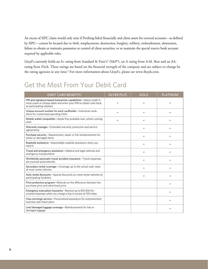An excess of SIPC claim would only arise if Pershing failed financially and client assets for covered accounts—as defined by SIPC—cannot be located due to theft, misplacement, destruction, burglary, robbery, embezzlement, abstraction, failure to obtain or maintain possession or control of client securities, or to maintain the special reserve bank account required by applicable rules.

Lloyd's currently holds an A+ rating from Standard & Poor's® (S&P®), an A rating from A.M. Best and an AArating from Fitch. These ratings are based on the financial strength of the company and are subject to change by the rating agencies at any time.<sup>6</sup> For more information about Lloyd's, please see www.lloyds.com.

### Get the Most From Your Debit Card

| <b>DEBIT CARD BENEFITS<sup>7</sup></b>                                                                                                                               | <b>SILVER PLUS</b> | <b>GOLD</b> | <b>PLATINUM</b> |
|----------------------------------------------------------------------------------------------------------------------------------------------------------------------|--------------------|-------------|-----------------|
| PIN and signature-based transaction capabilities-Select credit in<br>most cases or choose debit and enter your PIN to obtain cash back<br>at participating retailers |                    |             |                 |
| Unique account number for each cardholder-Individual cards<br>allow for customized spending limits                                                                   | ٠                  | $\bullet$   |                 |
| Mobile wallet compatible-Apple Pay available now, others coming<br>soon                                                                                              |                    |             |                 |
| Warranty manager-Extended warranty protection and service<br>agreements                                                                                              |                    | $\bullet$   |                 |
| Purchase security-Replacement, repair or full reimbursement for<br>stolen or damaged items                                                                           |                    | ٠           |                 |
| Roadside assistance-Dependable roadside assistance when you<br>need it                                                                                               |                    | ٠           |                 |
| Travel and emergency assistance-Medical and legal referrals and<br>emergency transportation                                                                          |                    |             |                 |
| Worldwide automatic travel accident insurance-Travel expenses<br>are covered automatically                                                                           |                    |             |                 |
| Secondary rental coverage-Coverage up to the actual cash value<br>of most rental vehicles                                                                            |                    |             |                 |
| Auto rental discounts-Special discounts on most rental vehicles at<br>participating locations                                                                        |                    |             |                 |
| Price protection program-Refunds on the difference between the<br>purchase price and advertised price                                                                |                    |             |                 |
| Emergency evacuation insurance—Receive up to \$10,000 for<br>covered expenses when you charge a trip in excess of 100 miles                                          |                    |             |                 |
| Visa concierge service-Personalized assistance for entertainment,<br>business and travel plans                                                                       |                    |             |                 |
| Lost/damaged luggage coverage-Reimbursement for lost or<br>damaged luggage                                                                                           |                    |             |                 |